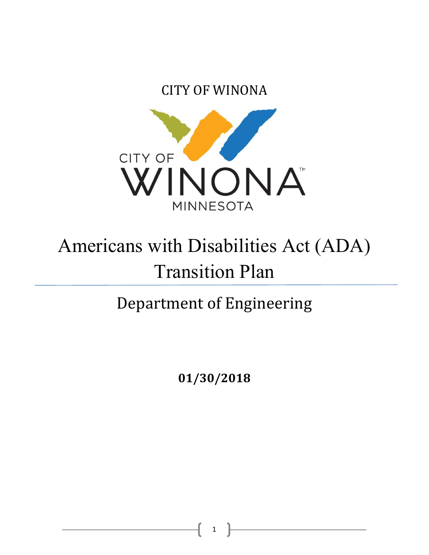CITY OF WINONA



# Americans with Disabilities Act (ADA) Transition Plan

## Department of Engineering

**01/30/2018**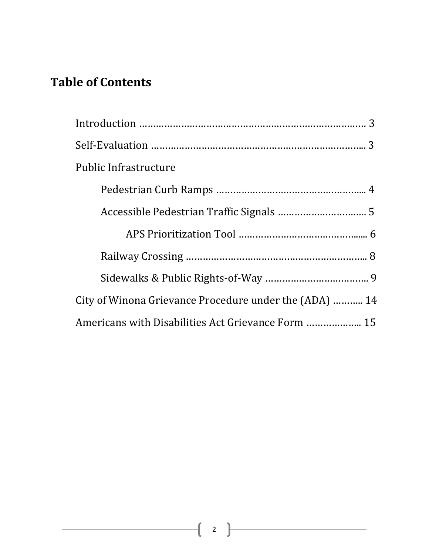#### **Table of Contents**

| <b>Public Infrastructure</b>                           |  |
|--------------------------------------------------------|--|
|                                                        |  |
|                                                        |  |
|                                                        |  |
|                                                        |  |
|                                                        |  |
| City of Winona Grievance Procedure under the (ADA)  14 |  |
| Americans with Disabilities Act Grievance Form  15     |  |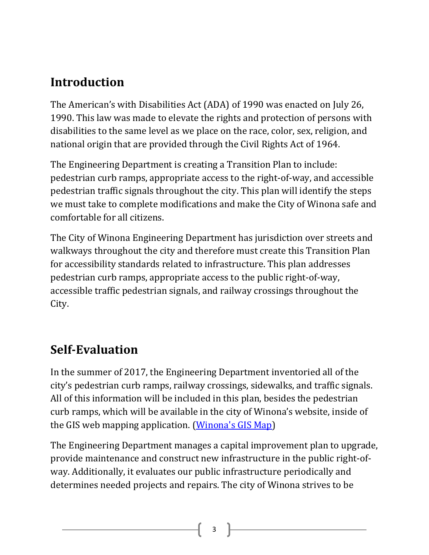#### **Introduction**

The American's with Disabilities Act (ADA) of 1990 was enacted on July 26, 1990. This law was made to elevate the rights and protection of persons with disabilities to the same level as we place on the race, color, sex, religion, and national origin that are provided through the Civil Rights Act of 1964.

The Engineering Department is creating a Transition Plan to include: pedestrian curb ramps, appropriate access to the right-of-way, and accessible pedestrian traffic signals throughout the city. This plan will identify the steps we must take to complete modifications and make the City of Winona safe and comfortable for all citizens.

The City of Winona Engineering Department has jurisdiction over streets and walkways throughout the city and therefore must create this Transition Plan for accessibility standards related to infrastructure. This plan addresses pedestrian curb ramps, appropriate access to the public right-of-way, accessible traffic pedestrian signals, and railway crossings throughout the City.

#### **Self-Evaluation**

In the summer of 2017, the Engineering Department inventoried all of the city's pedestrian curb ramps, railway crossings, sidewalks, and traffic signals. All of this information will be included in this plan, besides the pedestrian curb ramps, which will be available in the city of Winona's website, inside of the GIS web mapping application. [\(Winona's GIS Map\)](https://www.cityofwinona.com/city-services/public-works/gis-geographic-information-systems/)

The Engineering Department manages a capital improvement plan to upgrade, provide maintenance and construct new infrastructure in the public right-ofway. Additionally, it evaluates our public infrastructure periodically and determines needed projects and repairs. The city of Winona strives to be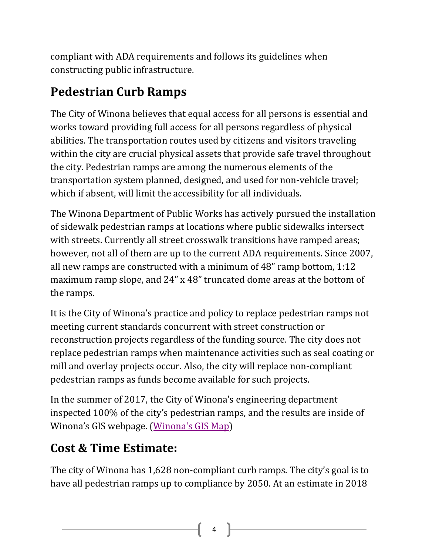compliant with ADA requirements and follows its guidelines when constructing public infrastructure.

## **Pedestrian Curb Ramps**

The City of Winona believes that equal access for all persons is essential and works toward providing full access for all persons regardless of physical abilities. The transportation routes used by citizens and visitors traveling within the city are crucial physical assets that provide safe travel throughout the city. Pedestrian ramps are among the numerous elements of the transportation system planned, designed, and used for non-vehicle travel; which if absent, will limit the accessibility for all individuals.

The Winona Department of Public Works has actively pursued the installation of sidewalk pedestrian ramps at locations where public sidewalks intersect with streets. Currently all street crosswalk transitions have ramped areas; however, not all of them are up to the current ADA requirements. Since 2007, all new ramps are constructed with a minimum of 48" ramp bottom, 1:12 maximum ramp slope, and 24" x 48" truncated dome areas at the bottom of the ramps.

It is the City of Winona's practice and policy to replace pedestrian ramps not meeting current standards concurrent with street construction or reconstruction projects regardless of the funding source. The city does not replace pedestrian ramps when maintenance activities such as seal coating or mill and overlay projects occur. Also, the city will replace non-compliant pedestrian ramps as funds become available for such projects.

In the summer of 2017, the City of Winona's engineering department inspected 100% of the city's pedestrian ramps, and the results are inside of Winona's GIS webpage. [\(Winona's GIS Map\)](https://www.cityofwinona.com/city-services/public-works/gis-geographic-information-systems/)

### **Cost & Time Estimate:**

The city of Winona has 1,628 non-compliant curb ramps. The city's goal is to have all pedestrian ramps up to compliance by 2050. At an estimate in 2018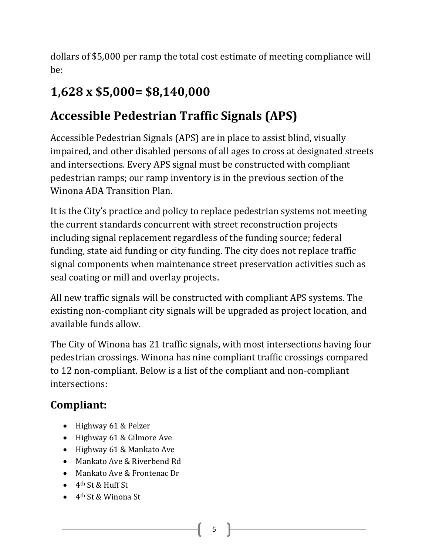dollars of \$5,000 per ramp the total cost estimate of meeting compliance will be:

### **1,628 x \$5,000= \$8,140,000**

#### **Accessible Pedestrian Traffic Signals (APS)**

Accessible Pedestrian Signals (APS) are in place to assist blind, visually impaired, and other disabled persons of all ages to cross at designated streets and intersections. Every APS signal must be constructed with compliant pedestrian ramps; our ramp inventory is in the previous section of the Winona ADA Transition Plan.

It is the City's practice and policy to replace pedestrian systems not meeting the current standards concurrent with street reconstruction projects including signal replacement regardless of the funding source; federal funding, state aid funding or city funding. The city does not replace traffic signal components when maintenance street preservation activities such as seal coating or mill and overlay projects.

All new traffic signals will be constructed with compliant APS systems. The existing non-compliant city signals will be upgraded as project location, and available funds allow.

The City of Winona has 21 traffic signals, with most intersections having four pedestrian crossings. Winona has nine compliant traffic crossings compared to 12 non-compliant. Below is a list of the compliant and non-compliant intersections:

#### **Compliant:**

- Highway 61 & Pelzer
- Highway 61 & Gilmore Ave
- Highway 61 & Mankato Ave
- Mankato Ave & Riverbend Rd
- Mankato Ave & Frontenac Dr
- 4th St & Huff St
- 4th St & Winona St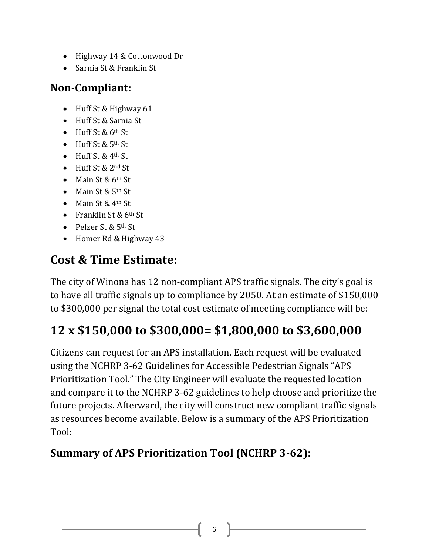- Highway 14 & Cottonwood Dr
- Sarnia St & Franklin St

#### **Non-Compliant:**

- Huff St & Highway 61
- Huff St & Sarnia St
- Huff St & 6th St
- $\bullet$  Huff St & 5<sup>th</sup> St
- Huff St & 4<sup>th</sup> St
- Huff St & 2nd St
- Main St & 6<sup>th</sup> St
- Main St & 5<sup>th</sup> St
- Main St & 4<sup>th</sup> St
- Franklin St & 6<sup>th</sup> St
- Pelzer St & 5th St
- Homer Rd & Highway 43

#### **Cost & Time Estimate:**

The city of Winona has 12 non-compliant APS traffic signals. The city's goal is to have all traffic signals up to compliance by 2050. At an estimate of \$150,000 to \$300,000 per signal the total cost estimate of meeting compliance will be:

### **12 x \$150,000 to \$300,000= \$1,800,000 to \$3,600,000**

Citizens can request for an APS installation. Each request will be evaluated using the NCHRP 3-62 Guidelines for Accessible Pedestrian Signals "APS Prioritization Tool." The City Engineer will evaluate the requested location and compare it to the NCHRP 3-62 guidelines to help choose and prioritize the future projects. Afterward, the city will construct new compliant traffic signals as resources become available. Below is a summary of the APS Prioritization Tool:

#### **Summary of APS Prioritization Tool (NCHRP 3-62):**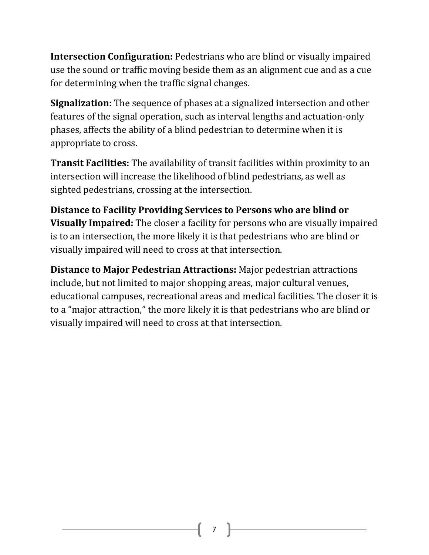**Intersection Configuration:** Pedestrians who are blind or visually impaired use the sound or traffic moving beside them as an alignment cue and as a cue for determining when the traffic signal changes.

**Signalization:** The sequence of phases at a signalized intersection and other features of the signal operation, such as interval lengths and actuation-only phases, affects the ability of a blind pedestrian to determine when it is appropriate to cross.

**Transit Facilities:** The availability of transit facilities within proximity to an intersection will increase the likelihood of blind pedestrians, as well as sighted pedestrians, crossing at the intersection.

**Distance to Facility Providing Services to Persons who are blind or Visually Impaired:** The closer a facility for persons who are visually impaired is to an intersection, the more likely it is that pedestrians who are blind or visually impaired will need to cross at that intersection.

**Distance to Major Pedestrian Attractions:** Major pedestrian attractions include, but not limited to major shopping areas, major cultural venues, educational campuses, recreational areas and medical facilities. The closer it is to a "major attraction," the more likely it is that pedestrians who are blind or visually impaired will need to cross at that intersection.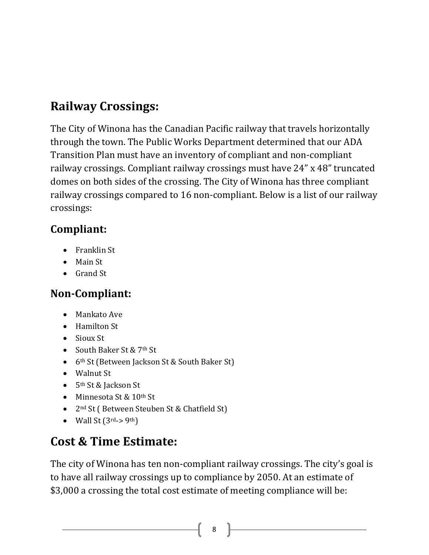### **Railway Crossings:**

The City of Winona has the Canadian Pacific railway that travels horizontally through the town. The Public Works Department determined that our ADA Transition Plan must have an inventory of compliant and non-compliant railway crossings. Compliant railway crossings must have 24" x 48" truncated domes on both sides of the crossing. The City of Winona has three compliant railway crossings compared to 16 non-compliant. Below is a list of our railway crossings:

#### **Compliant:**

- Franklin St
- Main St
- Grand St

#### **Non-Compliant:**

- Mankato Ave
- Hamilton St
- Sioux St
- South Baker St & 7<sup>th</sup> St
- 6<sup>th</sup> St (Between Jackson St & South Baker St)
- Walnut St
- 5<sup>th</sup> St & Jackson St
- Minnesota St & 10<sup>th</sup> St
- 2<sup>nd</sup> St (Between Steuben St & Chatfield St)
- Wall St  $(3^{rd} > 9^{th})$

## **Cost & Time Estimate:**

The city of Winona has ten non-compliant railway crossings. The city's goal is to have all railway crossings up to compliance by 2050. At an estimate of \$3,000 a crossing the total cost estimate of meeting compliance will be: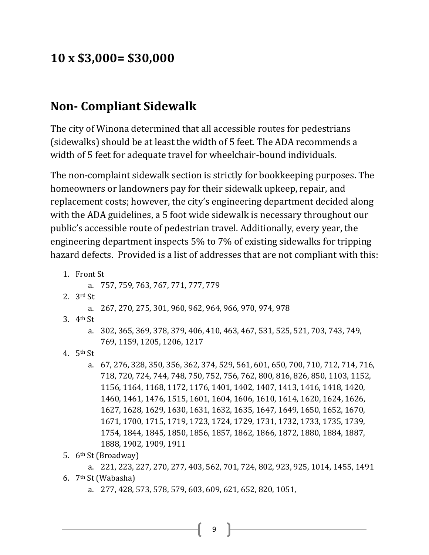#### **10 x \$3,000= \$30,000**

#### **Non- Compliant Sidewalk**

The city of Winona determined that all accessible routes for pedestrians (sidewalks) should be at least the width of 5 feet. The ADA recommends a width of 5 feet for adequate travel for wheelchair-bound individuals.

The non-complaint sidewalk section is strictly for bookkeeping purposes. The homeowners or landowners pay for their sidewalk upkeep, repair, and replacement costs; however, the city's engineering department decided along with the ADA guidelines, a 5 foot wide sidewalk is necessary throughout our public's accessible route of pedestrian travel. Additionally, every year, the engineering department inspects 5% to 7% of existing sidewalks for tripping hazard defects. Provided is a list of addresses that are not compliant with this:

- 1. Front St
	- a. 757, 759, 763, 767, 771, 777, 779
- 2. 3rd St
	- a. 267, 270, 275, 301, 960, 962, 964, 966, 970, 974, 978
- 3. 4th St
	- a. 302, 365, 369, 378, 379, 406, 410, 463, 467, 531, 525, 521, 703, 743, 749, 769, 1159, 1205, 1206, 1217
- 4. 5th St
	- a. 67, 276, 328, 350, 356, 362, 374, 529, 561, 601, 650, 700, 710, 712, 714, 716, 718, 720, 724, 744, 748, 750, 752, 756, 762, 800, 816, 826, 850, 1103, 1152, 1156, 1164, 1168, 1172, 1176, 1401, 1402, 1407, 1413, 1416, 1418, 1420, 1460, 1461, 1476, 1515, 1601, 1604, 1606, 1610, 1614, 1620, 1624, 1626, 1627, 1628, 1629, 1630, 1631, 1632, 1635, 1647, 1649, 1650, 1652, 1670, 1671, 1700, 1715, 1719, 1723, 1724, 1729, 1731, 1732, 1733, 1735, 1739, 1754, 1844, 1845, 1850, 1856, 1857, 1862, 1866, 1872, 1880, 1884, 1887, 1888, 1902, 1909, 1911
- 5. 6th St (Broadway)

a. 221, 223, 227, 270, 277, 403, 562, 701, 724, 802, 923, 925, 1014, 1455, 1491 6. 7th St (Wabasha)

a. 277, 428, 573, 578, 579, 603, 609, 621, 652, 820, 1051,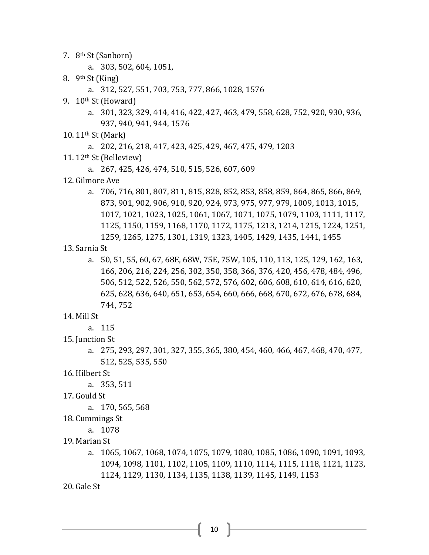- 7. 8th St (Sanborn)
	- a. 303, 502, 604, 1051,
- 8. 9th St (King)
	- a. 312, 527, 551, 703, 753, 777, 866, 1028, 1576
- 9. 10th St (Howard)
	- a. 301, 323, 329, 414, 416, 422, 427, 463, 479, 558, 628, 752, 920, 930, 936, 937, 940, 941, 944, 1576
- 10. 11th St (Mark)
	- a. 202, 216, 218, 417, 423, 425, 429, 467, 475, 479, 1203
- 11. 12th St (Belleview)
	- a. 267, 425, 426, 474, 510, 515, 526, 607, 609
- 12. Gilmore Ave
	- a. 706, 716, 801, 807, 811, 815, 828, 852, 853, 858, 859, 864, 865, 866, 869, 873, 901, 902, 906, 910, 920, 924, 973, 975, 977, 979, 1009, 1013, 1015, 1017, 1021, 1023, 1025, 1061, 1067, 1071, 1075, 1079, 1103, 1111, 1117, 1125, 1150, 1159, 1168, 1170, 1172, 1175, 1213, 1214, 1215, 1224, 1251, 1259, 1265, 1275, 1301, 1319, 1323, 1405, 1429, 1435, 1441, 1455
- 13. Sarnia St
	- a. 50, 51, 55, 60, 67, 68E, 68W, 75E, 75W, 105, 110, 113, 125, 129, 162, 163, 166, 206, 216, 224, 256, 302, 350, 358, 366, 376, 420, 456, 478, 484, 496, 506, 512, 522, 526, 550, 562, 572, 576, 602, 606, 608, 610, 614, 616, 620, 625, 628, 636, 640, 651, 653, 654, 660, 666, 668, 670, 672, 676, 678, 684, 744, 752
- 14. Mill St
	- a. 115
- 15. Junction St
	- a. 275, 293, 297, 301, 327, 355, 365, 380, 454, 460, 466, 467, 468, 470, 477, 512, 525, 535, 550
- 16. Hilbert St
	- a. 353, 511
- 17. Gould St
	- a. 170, 565, 568
- 18. Cummings St
	- a. 1078
- 19. Marian St
	- a. 1065, 1067, 1068, 1074, 1075, 1079, 1080, 1085, 1086, 1090, 1091, 1093, 1094, 1098, 1101, 1102, 1105, 1109, 1110, 1114, 1115, 1118, 1121, 1123, 1124, 1129, 1130, 1134, 1135, 1138, 1139, 1145, 1149, 1153
- 20. Gale St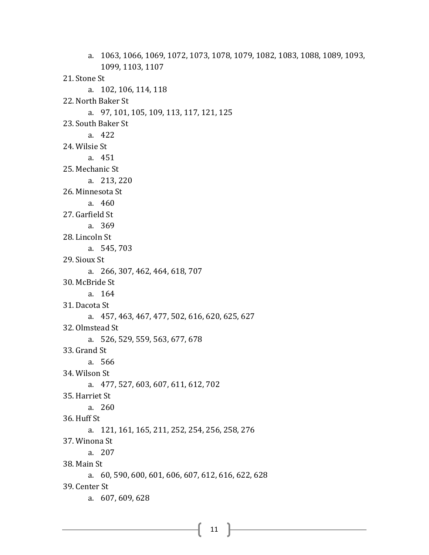a. 1063, 1066, 1069, 1072, 1073, 1078, 1079, 1082, 1083, 1088, 1089, 1093, 1099, 1103, 1107 21. Stone St a. 102, 106, 114, 118 22. North Baker St a. 97, 101, 105, 109, 113, 117, 121, 125 23. South Baker St a. 422 24. Wilsie St a. 451 25. Mechanic St a. 213, 220 26. Minnesota St a. 460 27. Garfield St a. 369 28. Lincoln St a. 545, 703 29. Sioux St a. 266, 307, 462, 464, 618, 707 30. McBride St a. 164 31. Dacota St a. 457, 463, 467, 477, 502, 616, 620, 625, 627 32. Olmstead St a. 526, 529, 559, 563, 677, 678 33. Grand St a. 566 34. Wilson St a. 477, 527, 603, 607, 611, 612, 702 35. Harriet St a. 260 36. Huff St a. 121, 161, 165, 211, 252, 254, 256, 258, 276 37. Winona St a. 207 38. Main St a. 60, 590, 600, 601, 606, 607, 612, 616, 622, 628 39. Center St a. 607, 609, 628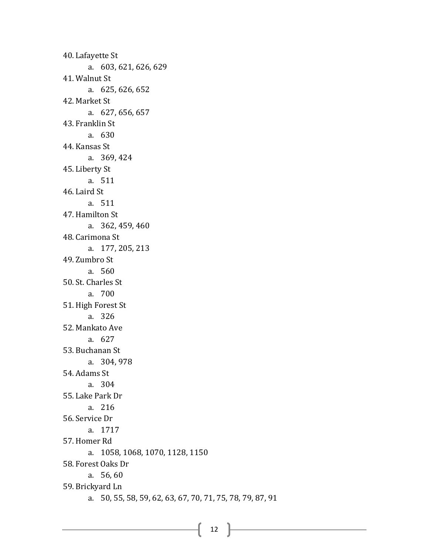40. Lafayette St a. 603, 621, 626, 629 41. Walnut St a. 625, 626, 652 42. Market St a. 627, 656, 657 43. Franklin St a. 630 44. Kansas St a. 369, 424 45. Liberty St a. 511 46. Laird St a. 511 47. Hamilton St a. 362, 459, 460 48. Carimona St a. 177, 205, 213 49. Zumbro St a. 560 50. St. Charles St a. 700 51. High Forest St a. 326 52. Mankato Ave a. 627 53. Buchanan St a. 304, 978 54. Adams St a. 304 55. Lake Park Dr a. 216 56. Service Dr a. 1717 57. Homer Rd a. 1058, 1068, 1070, 1128, 1150 58. Forest Oaks Dr a. 56, 60 59. Brickyard Ln a. 50, 55, 58, 59, 62, 63, 67, 70, 71, 75, 78, 79, 87, 91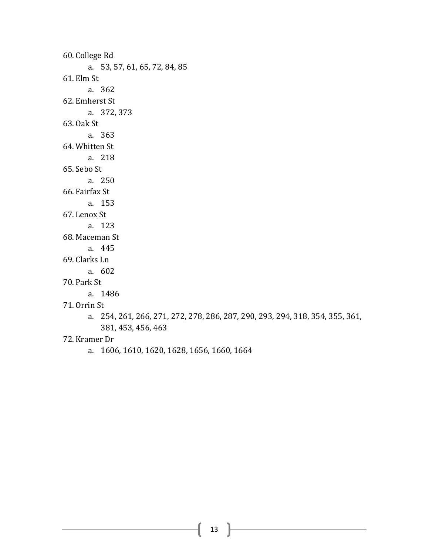60. College Rd a. 53, 57, 61, 65, 72, 84, 85 61. Elm St a. 362 62. Emherst St a. 372, 373 63. Oak St a. 363 64. Whitten St a. 218 65. Sebo St a. 250 66. Fairfax St a. 153 67. Lenox St a. 123 68. Maceman St a. 445 69. Clarks Ln a. 602 70. Park St a. 1486 71. Orrin St

a. 254, 261, 266, 271, 272, 278, 286, 287, 290, 293, 294, 318, 354, 355, 361, 381, 453, 456, 463

#### 72. Kramer Dr

a. 1606, 1610, 1620, 1628, 1656, 1660, 1664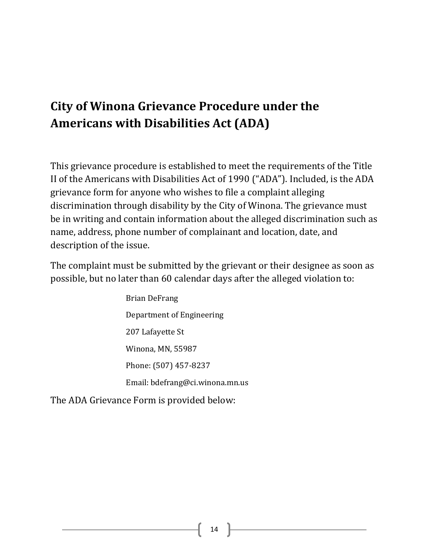### **City of Winona Grievance Procedure under the Americans with Disabilities Act (ADA)**

This grievance procedure is established to meet the requirements of the Title II of the Americans with Disabilities Act of 1990 ("ADA"). Included, is the ADA grievance form for anyone who wishes to file a complaint alleging discrimination through disability by the City of Winona. The grievance must be in writing and contain information about the alleged discrimination such as name, address, phone number of complainant and location, date, and description of the issue.

The complaint must be submitted by the grievant or their designee as soon as possible, but no later than 60 calendar days after the alleged violation to:

> Brian DeFrang Department of Engineering 207 Lafayette St Winona, MN, 55987 Phone: (507) 457-8237 Email: bdefrang@ci.winona.mn.us

The ADA Grievance Form is provided below: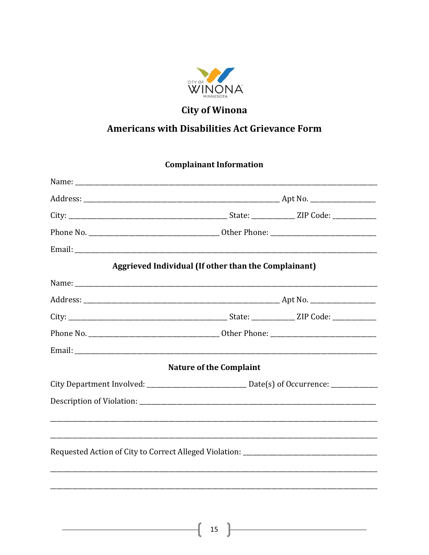

#### **City of Winona**

#### **Americans with Disabilities Act Grievance Form**

#### **Complainant Information**

| Email: <u>Announce</u> and the contract of the contract of the contract of the contract of the contract of the contract of the contract of the contract of the contract of the contract of the contract of the contract of the cont |                                                                                   |
|-------------------------------------------------------------------------------------------------------------------------------------------------------------------------------------------------------------------------------------|-----------------------------------------------------------------------------------|
|                                                                                                                                                                                                                                     | Aggrieved Individual (If other than the Complainant)                              |
|                                                                                                                                                                                                                                     |                                                                                   |
|                                                                                                                                                                                                                                     |                                                                                   |
|                                                                                                                                                                                                                                     |                                                                                   |
|                                                                                                                                                                                                                                     |                                                                                   |
|                                                                                                                                                                                                                                     |                                                                                   |
|                                                                                                                                                                                                                                     | <b>Nature of the Complaint</b>                                                    |
|                                                                                                                                                                                                                                     |                                                                                   |
|                                                                                                                                                                                                                                     |                                                                                   |
|                                                                                                                                                                                                                                     |                                                                                   |
|                                                                                                                                                                                                                                     |                                                                                   |
|                                                                                                                                                                                                                                     | Requested Action of City to Correct Alleged Violation: __________________________ |
|                                                                                                                                                                                                                                     |                                                                                   |
|                                                                                                                                                                                                                                     |                                                                                   |
|                                                                                                                                                                                                                                     |                                                                                   |

<u> 1980 - Johann Barbara, martin di</u>